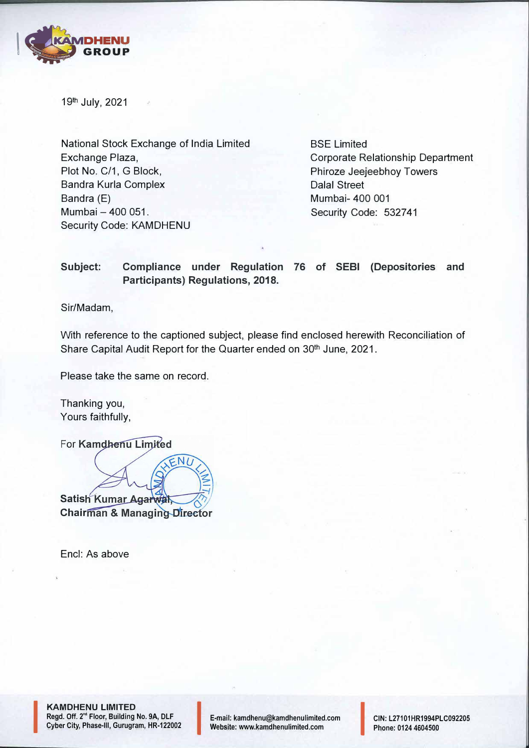

19th July, 2021

National Stock Exchange of India Limited Exchange Plaza, Plot No. C/1, G Block, Sandra Kurla Complex Bandra (E) Mumbai - 400 051. Security Code: KAMDHENU

**BSE Limited** Corporate Relationship Department Phiroze Jeejeebhoy Towers Dalal Street Mumbai- 400 001 Security Code: 532741

## **Subject: Compliance under Regulation 76 of SEBI (Depositories and Participants) Regulations, 2018.**

Sir/Madam,

With reference to the captioned subject, please find enclosed herewith Reconciliation of Share Capital Audit Report for the Quarter ended on 30<sup>th</sup> June, 2021.

Please take the same on record.

Thanking you, Yours faithfully,

For Kamdhenu Limited

 $Nl$ **Satish Kumar Agarwal Chairman & Managing Director** 

Encl: As above

**KAMDHENU LIMITED Regd. Off. 2"' Floor, Building No. 9A, DLF Cyber City, Phase-Ill, Gurugram, HR-122002**<br>Cyber City, Phase-Ill, Gurugram, HR-122002 **I E-mail: kamdhenu@kamdhenulimited.com** 

**I** 

E-mail: kamdhenu@kamdhenulimited.com<br>**Website: www.kamdhenulimited.com**<br>Phone: 0124 4604500

**Phone: 0124 4604500**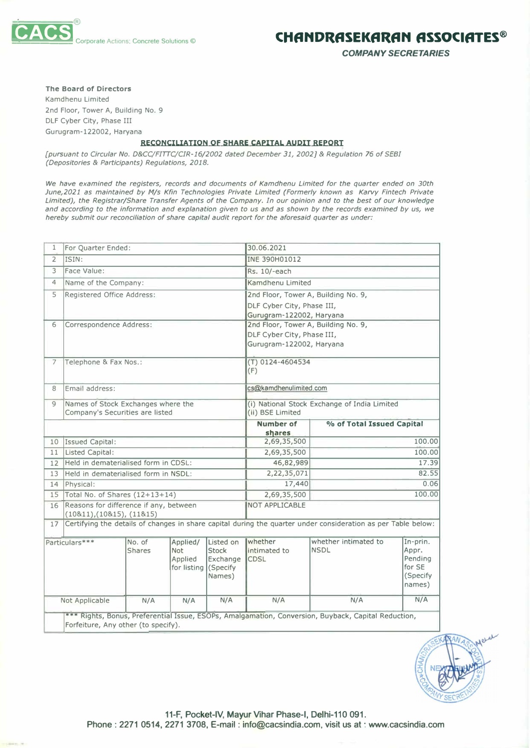



*COMPANY SECRETARIES* 

## **The Board of Directors**

Kamdhenu Limited 2nd Floor, Tower A, Building No. 9 DLF Cyber City, Phase III Gurugram-122002, Haryana

## **RECONCILIATION OF SHARE CAPITAL AUDIT REPORT**

*[pursuant to Circular No. D&CC/FITTC/CIR-16/2002 dated December 31, 2002]* & *Regulation* 76 *of SEBI (Depositories* & *Participants) Regulations, 2018.* 

*We have examined the registers, records and documents of Kamdhenu Limited for the quarter ended on 30th June,2021 as maintained by M/s Kfin Technologies Private Limited (Formerly known as Karvy Fintech Private Limited), the Registrar/Share Transfer Agents of the Company. In our opinion and to the best of our knowledge and according to the information and explanation given to us and as shown by the records examined by us, we hereby submit our reconciliation of share capital audit report for the aforesaid quarter as under:* 

| $\mathbf{1}$   | For Quarter Ended:                     |                         |                                                                                                               |                                          | 30,06,2021                             |                                                                                                     |                                                               |
|----------------|----------------------------------------|-------------------------|---------------------------------------------------------------------------------------------------------------|------------------------------------------|----------------------------------------|-----------------------------------------------------------------------------------------------------|---------------------------------------------------------------|
| $\overline{2}$ | ISIN:                                  |                         |                                                                                                               | INE 390H01012                            |                                        |                                                                                                     |                                                               |
| 3              | Face Value:                            |                         |                                                                                                               | Rs. 10/-each                             |                                        |                                                                                                     |                                                               |
| 4              | Name of the Company:                   |                         |                                                                                                               | Kamdhenu Limited                         |                                        |                                                                                                     |                                                               |
| 5              | Registered Office Address:             |                         |                                                                                                               |                                          | 2nd Floor, Tower A, Building No. 9,    |                                                                                                     |                                                               |
|                |                                        |                         |                                                                                                               |                                          | DLF Cyber City, Phase III,             |                                                                                                     |                                                               |
|                |                                        |                         |                                                                                                               |                                          | Gurugram-122002, Haryana               |                                                                                                     |                                                               |
| 6              | Correspondence Address:                |                         |                                                                                                               |                                          | 2nd Floor, Tower A, Building No. 9,    |                                                                                                     |                                                               |
|                |                                        |                         |                                                                                                               |                                          | DLF Cyber City, Phase III,             |                                                                                                     |                                                               |
|                |                                        |                         |                                                                                                               |                                          | Gurugram-122002, Haryana               |                                                                                                     |                                                               |
| $\overline{7}$ | Telephone & Fax Nos.:                  |                         |                                                                                                               |                                          | (T) 0124-4604534                       |                                                                                                     |                                                               |
|                |                                        |                         |                                                                                                               |                                          | (F)                                    |                                                                                                     |                                                               |
| 8              | Email address:                         |                         |                                                                                                               |                                          | cs@kamdhenulimited.com                 |                                                                                                     |                                                               |
| 9              | Names of Stock Exchanges where the     |                         |                                                                                                               |                                          |                                        | (i) National Stock Exchange of India Limited                                                        |                                                               |
|                | Company's Securities are listed        |                         |                                                                                                               |                                          | (ii) BSE Limited                       |                                                                                                     |                                                               |
|                |                                        |                         |                                                                                                               |                                          | Number of<br><b>shares</b>             | % of Total Issued Capital                                                                           |                                                               |
| 10             | Issued Capital:                        |                         |                                                                                                               | 2,69,35,500                              |                                        | 100.00                                                                                              |                                                               |
| 11             | Listed Capital:                        |                         |                                                                                                               |                                          | 2,69,35,500                            |                                                                                                     | 100.00                                                        |
| 12             | Held in dematerialised form in CDSL:   |                         |                                                                                                               |                                          | 46,82,989                              | 17.39                                                                                               |                                                               |
| 13             | Held in dematerialised form in NSDL:   |                         |                                                                                                               | 82.55<br>2,22,35,071                     |                                        |                                                                                                     |                                                               |
| 14             | Physical:                              |                         | 0.06<br>17,440                                                                                                |                                          |                                        |                                                                                                     |                                                               |
| 15             | Total No. of Shares (12+13+14)         |                         |                                                                                                               | 100.00<br>2,69,35,500                    |                                        |                                                                                                     |                                                               |
| 16             | Reasons for difference if any, between |                         | NOT APPLICABLE                                                                                                |                                          |                                        |                                                                                                     |                                                               |
|                | (10811), (10815), (11815)              |                         | Certifying the details of changes in share capital during the quarter under consideration as per Table below: |                                          |                                        |                                                                                                     |                                                               |
| 17             |                                        |                         |                                                                                                               |                                          |                                        |                                                                                                     |                                                               |
|                | Particulars***                         | No. of<br><b>Shares</b> | Applied/<br><b>Not</b><br>Applied<br>for listing (Specify                                                     | Listed on<br>Stock<br>Exchange<br>Names) | whether<br>intimated to<br><b>CDSL</b> | whether intimated to<br><b>NSDL</b>                                                                 | In-prin.<br>Appr.<br>Pending<br>for SE<br>(Specify)<br>names) |
|                | Not Applicable                         | N/A                     | N/A                                                                                                           | N/A                                      | N/A                                    | N/A                                                                                                 | N/A                                                           |
|                | Forfeiture, Any other (to specify).    |                         |                                                                                                               |                                          |                                        | *** Rights, Bonus, Preferential Issue, ESOPs, Amalgamation, Conversion, Buyback, Capital Reduction, |                                                               |